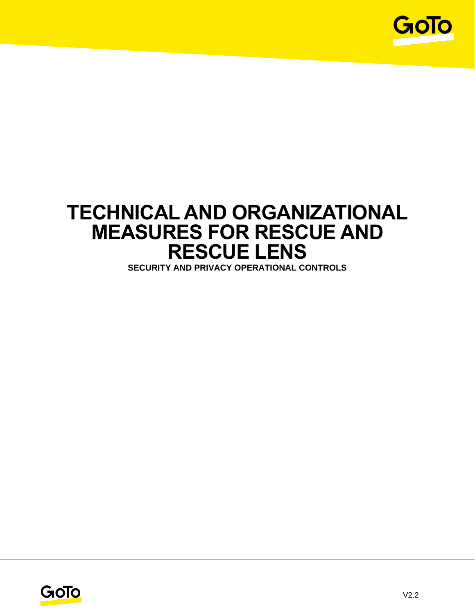

# **TECHNICAL AND ORGANIZATIONAL MEASURES FOR RESCUE AND RESCUE LENS**

**SECURITY AND PRIVACY OPERATIONAL CONTROLS**

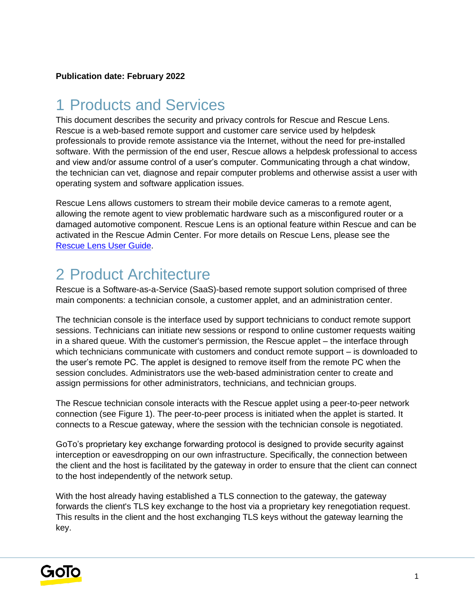## 1 Products and Services

This document describes the security and privacy controls for Rescue and Rescue Lens. Rescue is a web-based remote support and customer care service used by helpdesk professionals to provide remote assistance via the Internet, without the need for pre-installed software. With the permission of the end user, Rescue allows a helpdesk professional to access and view and/or assume control of a user's computer. Communicating through a chat window, the technician can vet, diagnose and repair computer problems and otherwise assist a user with operating system and software application issues.

Rescue Lens allows customers to stream their mobile device cameras to a remote agent, allowing the remote agent to view problematic hardware such as a misconfigured router or a damaged automotive component. Rescue Lens is an optional feature within Rescue and can be activated in the Rescue Admin Center. For more details on Rescue Lens, please see the [Rescue Lens User Guide.](https://secure.logmeinrescue.com/welcome/documents/pdfs/Rescue_Lens_Userguide.pdf)

## 2 Product Architecture

Rescue is a Software-as-a-Service (SaaS)-based remote support solution comprised of three main components: a technician console, a customer applet, and an administration center.

The technician console is the interface used by support technicians to conduct remote support sessions. Technicians can initiate new sessions or respond to online customer requests waiting in a shared queue. With the customer's permission, the Rescue applet – the interface through which technicians communicate with customers and conduct remote support – is downloaded to the user's remote PC. The applet is designed to remove itself from the remote PC when the session concludes. Administrators use the web-based administration center to create and assign permissions for other administrators, technicians, and technician groups.

The Rescue technician console interacts with the Rescue applet using a peer-to-peer network connection (see Figure 1). The peer-to-peer process is initiated when the applet is started. It connects to a Rescue gateway, where the session with the technician console is negotiated.

GoTo's proprietary key exchange forwarding protocol is designed to provide security against interception or eavesdropping on our own infrastructure. Specifically, the connection between the client and the host is facilitated by the gateway in order to ensure that the client can connect to the host independently of the network setup.

With the host already having established a TLS connection to the gateway, the gateway forwards the client's TLS key exchange to the host via a proprietary key renegotiation request. This results in the client and the host exchanging TLS keys without the gateway learning the key.

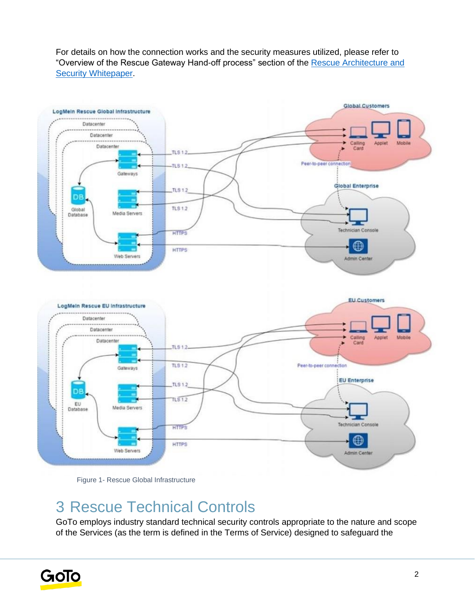For details on how the connection works and the security measures utilized, please refer to "Overview of the Rescue Gateway Hand-off process" section of the [Rescue Architecture and](https://secure.logmeinrescue.com/welcome/documents/pdfs/rescue_architecture.pdf)  [Security Whitepaper.](https://secure.logmeinrescue.com/welcome/documents/pdfs/rescue_architecture.pdf)





## 3 Rescue Technical Controls

GoTo employs industry standard technical security controls appropriate to the nature and scope of the Services (as the term is defined in the Terms of Service) designed to safeguard the

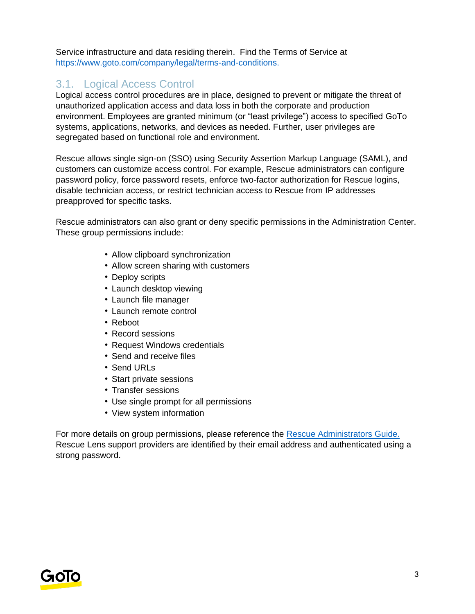Service infrastructure and data residing therein. Find the Terms of Service a[t](http://www.logmein.com/legal/terms-and-conditions) [https://www.goto.com/company/legal/terms-and-conditions.](https://www.goto.com/company/legal/terms-and-conditions)

#### 3.1. Logical Access Control

Logical access control procedures are in place, designed to prevent or mitigate the threat of unauthorized application access and data loss in both the corporate and production environment. Employees are granted minimum (or "least privilege") access to specified GoTo systems, applications, networks, and devices as needed. Further, user privileges are segregated based on functional role and environment.

Rescue allows single sign-on (SSO) using Security Assertion Markup Language (SAML), and customers can customize access control. For example, Rescue administrators can configure password policy, force password resets, enforce two-factor authorization for Rescue logins, disable technician access, or restrict technician access to Rescue from IP addresses preapproved for specific tasks.

Rescue administrators can also grant or deny specific permissions in the Administration Center. These group permissions include:

- Allow clipboard synchronization
- Allow screen sharing with customers
- Deploy scripts
- Launch desktop viewing
- Launch file manager
- Launch remote control
- Reboot
- Record sessions
- Request Windows credentials
- Send and receive files
- Send URLs
- Start private sessions
- Transfer sessions
- Use single prompt for all permissions
- View system information

For more details on group permissions, please reference the [Rescue Administrators Guide.](https://secure.logmeinrescue.com/welcome/documents/pdfs/rescue_admin_center_userguide.pdf) Rescue Lens support providers are identified by their email address and authenticated using a strong password.

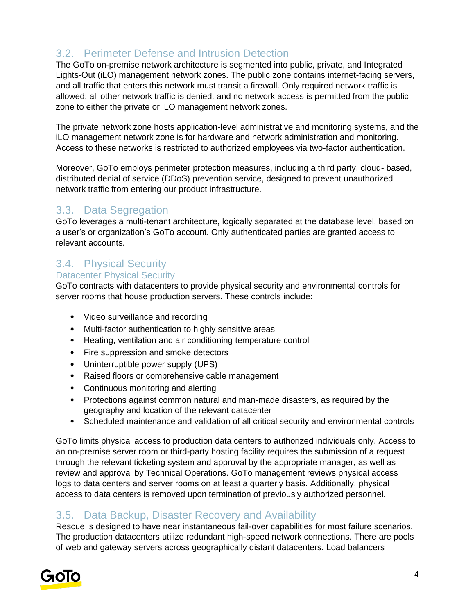## 3.2. Perimeter Defense and Intrusion Detection

The GoTo on-premise network architecture is segmented into public, private, and Integrated Lights-Out (iLO) management network zones. The public zone contains internet-facing servers, and all traffic that enters this network must transit a firewall. Only required network traffic is allowed; all other network traffic is denied, and no network access is permitted from the public zone to either the private or iLO management network zones.

The private network zone hosts application-level administrative and monitoring systems, and the iLO management network zone is for hardware and network administration and monitoring. Access to these networks is restricted to authorized employees via two-factor authentication.

Moreover, GoTo employs perimeter protection measures, including a third party, cloud- based, distributed denial of service (DDoS) prevention service, designed to prevent unauthorized network traffic from entering our product infrastructure.

#### 3.3. Data Segregation

GoTo leverages a multi-tenant architecture, logically separated at the database level, based on a user's or organization's GoTo account. Only authenticated parties are granted access to relevant accounts.

### 3.4. Physical Security

#### Datacenter Physical Security

GoTo contracts with datacenters to provide physical security and environmental controls for server rooms that house production servers. These controls include:

- Video surveillance and recording
- Multi-factor authentication to highly sensitive areas
- Heating, ventilation and air conditioning temperature control
- Fire suppression and smoke detectors
- Uninterruptible power supply (UPS)
- Raised floors or comprehensive cable management
- Continuous monitoring and alerting
- Protections against common natural and man-made disasters, as required by the geography and location of the relevant datacenter
- Scheduled maintenance and validation of all critical security and environmental controls

GoTo limits physical access to production data centers to authorized individuals only. Access to an on-premise server room or third-party hosting facility requires the submission of a request through the relevant ticketing system and approval by the appropriate manager, as well as review and approval by Technical Operations. GoTo management reviews physical access logs to data centers and server rooms on at least a quarterly basis. Additionally, physical access to data centers is removed upon termination of previously authorized personnel.

#### 3.5. Data Backup, Disaster Recovery and Availability

Rescue is designed to have near instantaneous fail-over capabilities for most failure scenarios. The production datacenters utilize redundant high-speed network connections. There are pools of web and gateway servers across geographically distant datacenters. Load balancers

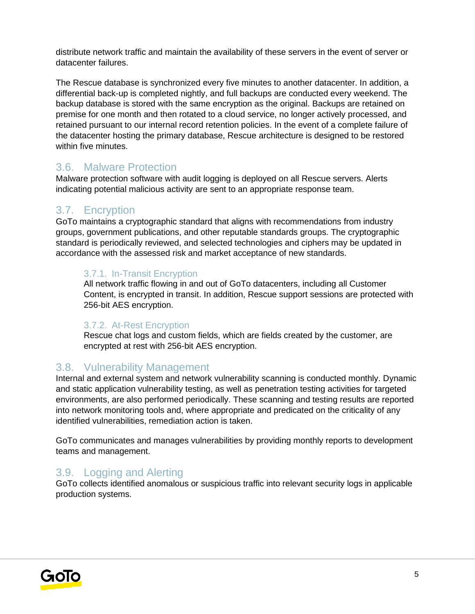distribute network traffic and maintain the availability of these servers in the event of server or datacenter failures.

The Rescue database is synchronized every five minutes to another datacenter. In addition, a differential back-up is completed nightly, and full backups are conducted every weekend. The backup database is stored with the same encryption as the original. Backups are retained on premise for one month and then rotated to a cloud service, no longer actively processed, and retained pursuant to our internal record retention policies. In the event of a complete failure of the datacenter hosting the primary database, Rescue architecture is designed to be restored within five minutes.

#### 3.6. Malware Protection

Malware protection software with audit logging is deployed on all Rescue servers. Alerts indicating potential malicious activity are sent to an appropriate response team.

#### 3.7. Encryption

GoTo maintains a cryptographic standard that aligns with recommendations from industry groups, government publications, and other reputable standards groups. The cryptographic standard is periodically reviewed, and selected technologies and ciphers may be updated in accordance with the assessed risk and market acceptance of new standards.

#### 3.7.1. In-Transit Encryption

All network traffic flowing in and out of GoTo datacenters, including all Customer Content, is encrypted in transit. In addition, Rescue support sessions are protected with 256-bit AES encryption.

#### 3.7.2. At-Rest Encryption

Rescue chat logs and custom fields, which are fields created by the customer, are encrypted at rest with 256-bit AES encryption.

#### 3.8. Vulnerability Management

Internal and external system and network vulnerability scanning is conducted monthly. Dynamic and static application vulnerability testing, as well as penetration testing activities for targeted environments, are also performed periodically. These scanning and testing results are reported into network monitoring tools and, where appropriate and predicated on the criticality of any identified vulnerabilities, remediation action is taken.

GoTo communicates and manages vulnerabilities by providing monthly reports to development teams and management.

#### 3.9. Logging and Alerting

GoTo collects identified anomalous or suspicious traffic into relevant security logs in applicable production systems.

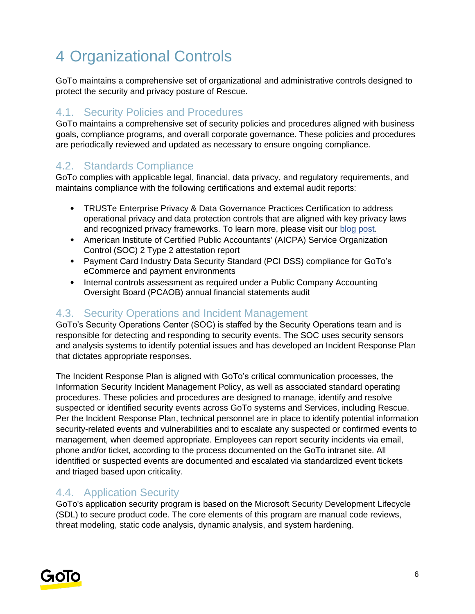# 4 Organizational Controls

GoTo maintains a comprehensive set of organizational and administrative controls designed to protect the security and privacy posture of Rescue.

### 4.1. Security Policies and Procedures

GoTo maintains a comprehensive set of security policies and procedures aligned with business goals, compliance programs, and overall corporate governance. These policies and procedures are periodically reviewed and updated as necessary to ensure ongoing compliance.

#### 4.2. Standards Compliance

GoTo complies with applicable legal, financial, data privacy, and regulatory requirements, and maintains compliance with the following certifications and external audit reports:

- TRUSTe Enterprise Privacy & Data Governance Practices Certification to address operational privacy and data protection controls that are aligned with key privacy laws and [r](https://blog.logmeininc.com/logmein-furthers-commitment-to-data-privacy-with-truste-enterprise-privacy-certification-seal/?lang=en)ecognized privacy frameworks. To learn more, please visit our [blog post](https://www.goto.com/blog/logmein-furthers-commitment-to-data-privacy-with-truste-enterprise-privacy-certification-seal)[.](https://blog.logmeininc.com/logmein-furthers-commitment-to-data-privacy-with-truste-enterprise-privacy-certification-seal/?lang=en)
- American Institute of Certified Public Accountants' (AICPA) Service Organization Control (SOC) 2 Type 2 attestation report
- Payment Card Industry Data Security Standard (PCI DSS) compliance for GoTo's eCommerce and payment environments
- Internal controls assessment as required under a Public Company Accounting Oversight Board (PCAOB) annual financial statements audit

#### 4.3. Security Operations and Incident Management

GoTo's Security Operations Center (SOC) is staffed by the Security Operations team and is responsible for detecting and responding to security events. The SOC uses security sensors and analysis systems to identify potential issues and has developed an Incident Response Plan that dictates appropriate responses.

The Incident Response Plan is aligned with GoTo's critical communication processes, the Information Security Incident Management Policy, as well as associated standard operating procedures. These policies and procedures are designed to manage, identify and resolve suspected or identified security events across GoTo systems and Services, including Rescue. Per the Incident Response Plan, technical personnel are in place to identify potential information security-related events and vulnerabilities and to escalate any suspected or confirmed events to management, when deemed appropriate. Employees can report security incidents via email, phone and/or ticket, according to the process documented on the GoTo intranet site. All identified or suspected events are documented and escalated via standardized event tickets and triaged based upon criticality.

#### 4.4. Application Security

GoTo's application security program is based on the Microsoft Security Development Lifecycle (SDL) to secure product code. The core elements of this program are manual code reviews, threat modeling, static code analysis, dynamic analysis, and system hardening.

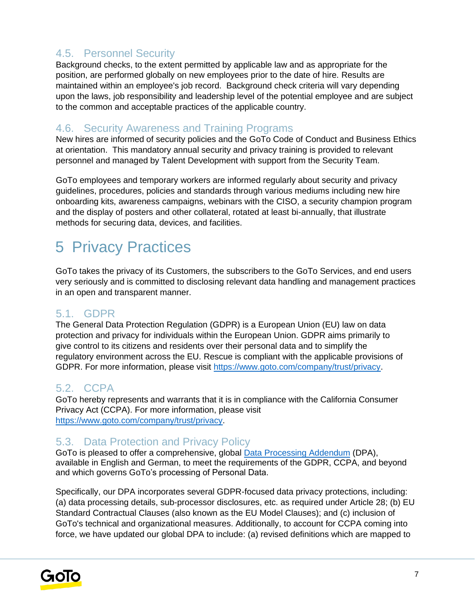#### 4.5. Personnel Security

Background checks, to the extent permitted by applicable law and as appropriate for the position, are performed globally on new employees prior to the date of hire. Results are maintained within an employee's job record. Background check criteria will vary depending upon the laws, job responsibility and leadership level of the potential employee and are subject to the common and acceptable practices of the applicable country.

#### 4.6. Security Awareness and Training Programs

New hires are informed of security policies and the GoTo Code of Conduct and Business Ethics at orientation. This mandatory annual security and privacy training is provided to relevant personnel and managed by Talent Development with support from the Security Team.

GoTo employees and temporary workers are informed regularly about security and privacy guidelines, procedures, policies and standards through various mediums including new hire onboarding kits, awareness campaigns, webinars with the CISO, a security champion program and the display of posters and other collateral, rotated at least bi-annually, that illustrate methods for securing data, devices, and facilities.

## 5 Privacy Practices

GoTo takes the privacy of its Customers, the subscribers to the GoTo Services, and end users very seriously and is committed to disclosing relevant data handling and management practices in an open and transparent manner.

#### 5.1. GDPR

The General Data Protection Regulation (GDPR) is a European Union (EU) law on data protection and privacy for individuals within the European Union. GDPR aims primarily to give control to its citizens and residents over their personal data and to simplify the regulatory environment across the EU. Rescue is compliant with the applicable provisions of GDPR. For more information, please visit [https://www.goto.com/company/trust/privacy.](https://www.goto.com/company/trust/privacy)

#### 5.2. CCPA

GoTo hereby represents and warrants that it is in compliance with the California Consumer Privacy Act (CCPA). For more information, please visit [https://www.goto.com/company/trust/privacy.](https://www.goto.com/company/trust/privacy)

#### 5.3. Data Protection and Privacy Policy

GoTo is pleased to offer a comprehensive, global [Data Processing Addendum](https://www.goto.com/company/legal) (DPA), available in [English](https://www.docusign.net/Member/PowerFormSigning.aspx?PowerFormId=87db4c61-3929-4ccb-ab58-b202e064c4a1) [a](https://www.docusign.net/Member/PowerFormSigning.aspx?PowerFormId=87db4c61-3929-4ccb-ab58-b202e064c4a1)nd [German,](https://www.docusign.net/Member/PowerFormSigning.aspx?PowerFormId=29541afa-3cf0-4d7c-90f8-e971a0866b8e&env=na1) to meet the requirements of the GDPR, CCPA, and beyond and which governs GoTo's processing of Personal Data.

Specifically, our DPA incorporates several GDPR-focused data privacy protections, including: (a) data processing details, sub-processor disclosures, etc. as required under Article 28; (b) EU Standard Contractual Clauses (also known as the EU Model Clauses); and (c) inclusion of GoTo's technical and organizational measures. Additionally, to account for CCPA coming into force, we have updated our global DPA to include: (a) revised definitions which are mapped to

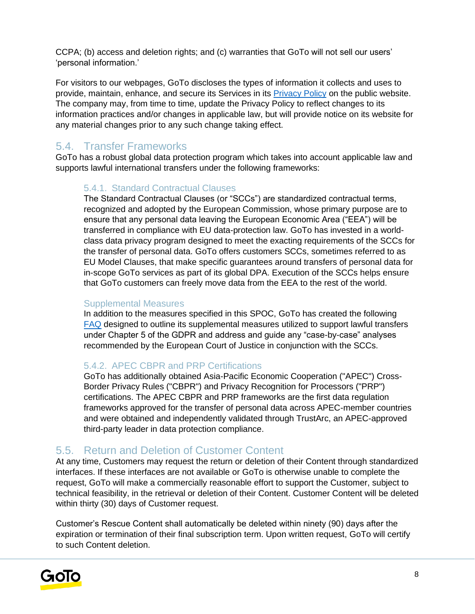CCPA; (b) access and deletion rights; and (c) warranties that GoTo will not sell our users' 'personal information.'

For visitors to our webpages, GoTo discloses the types of information it collects and uses to provide, maintain, enhance, and secure its Services in its [Privacy Policy](https://www.goto.com/company/legal/privacy) on the public website. The company may, from time to time, update the Privacy Policy to reflect changes to its information practices and/or changes in applicable law, but will provide notice on its website for any material changes prior to any such change taking effect.

### 5.4. Transfer Frameworks

GoTo has a robust global data protection program which takes into account applicable law and supports lawful international transfers under the following frameworks:

#### 5.4.1. Standard Contractual Clauses

The Standard Contractual Clauses (or "SCCs") are standardized contractual terms, recognized and adopted by the European Commission, whose primary purpose are to ensure that any personal data leaving the European Economic Area ("EEA") will be transferred in compliance with EU data-protection law. GoTo has invested in a worldclass data privacy program designed to meet the exacting requirements of the SCCs for the transfer of personal data. GoTo offers customers SCCs, sometimes referred to as EU Model Clauses, that make specific guarantees around transfers of personal data for in-scope GoTo services as part of its global DPA. Execution of the SCCs helps ensure that GoTo customers can freely move data from the EEA to the rest of the world.

#### Supplemental Measures

In addition to the measures specified in this SPOC, GoTo has created the following FAQ designed to outline its supplemental measures utilized to support lawful transfers under Chapter 5 of the GDPR and address and guide any "case-by-case" analyses recommended by the European Court of Justice in conjunction with the SCCs.

#### 5.4.2. APEC CBPR and PRP Certifications

GoTo has additionally obtained Asia-Pacific Economic Cooperation ("APEC") Cross-Border Privacy Rules ("CBPR") and Privacy Recognition for Processors ("PRP") certifications. The APEC CBPR and PRP frameworks are the first data regulation frameworks approved for the transfer of personal data across APEC-member countries and were obtained and independently validated through TrustArc, an APEC-approved third-party leader in data protection compliance.

#### 5.5. Return and Deletion of Customer Content

At any time, Customers may request the return or deletion of their Content through standardized interfaces. If these interfaces are not available or GoTo is otherwise unable to complete the request, GoTo will make a commercially reasonable effort to support the Customer, subject to technical feasibility, in the retrieval or deletion of their Content. Customer Content will be deleted within thirty (30) days of Customer request.

Customer's Rescue Content shall automatically be deleted within ninety (90) days after the expiration or termination of their final subscription term. Upon written request, GoTo will certify to such Content deletion.

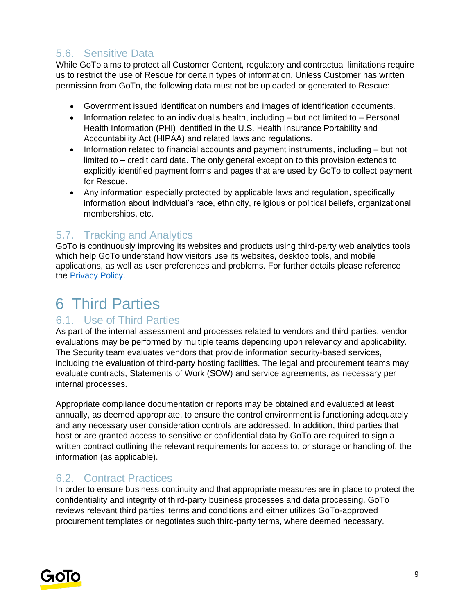### 5.6. Sensitive Data

While GoTo aims to protect all Customer Content, regulatory and contractual limitations require us to restrict the use of Rescue for certain types of information. Unless Customer has written permission from GoTo, the following data must not be uploaded or generated to Rescue:

- Government issued identification numbers and images of identification documents.
- Information related to an individual's health, including but not limited to Personal Health Information (PHI) identified in the U.S. Health Insurance Portability and Accountability Act (HIPAA) and related laws and regulations.
- Information related to financial accounts and payment instruments, including but not limited to – credit card data. The only general exception to this provision extends to explicitly identified payment forms and pages that are used by GoTo to collect payment for Rescue.
- Any information especially protected by applicable laws and regulation, specifically information about individual's race, ethnicity, religious or political beliefs, organizational memberships, etc.

### 5.7. Tracking and Analytics

GoTo is continuously improving its websites and products using third-party web analytics tools which help GoTo understand how visitors use its websites, desktop tools, and mobile applications, as well as user preferences and problems. For further details please reference the [Privacy Policy](https://www.goto.com/company/legal/privacy)[.](https://www.logmein.com/legal/privacy)

## 6 Third Parties

#### 6.1. Use of Third Parties

As part of the internal assessment and processes related to vendors and third parties, vendor evaluations may be performed by multiple teams depending upon relevancy and applicability. The Security team evaluates vendors that provide information security-based services, including the evaluation of third-party hosting facilities. The legal and procurement teams may evaluate contracts, Statements of Work (SOW) and service agreements, as necessary per internal processes.

Appropriate compliance documentation or reports may be obtained and evaluated at least annually, as deemed appropriate, to ensure the control environment is functioning adequately and any necessary user consideration controls are addressed. In addition, third parties that host or are granted access to sensitive or confidential data by GoTo are required to sign a written contract outlining the relevant requirements for access to, or storage or handling of, the information (as applicable).

#### 6.2. Contract Practices

In order to ensure business continuity and that appropriate measures are in place to protect the confidentiality and integrity of third-party business processes and data processing, GoTo reviews relevant third parties' terms and conditions and either utilizes GoTo-approved procurement templates or negotiates such third-party terms, where deemed necessary.